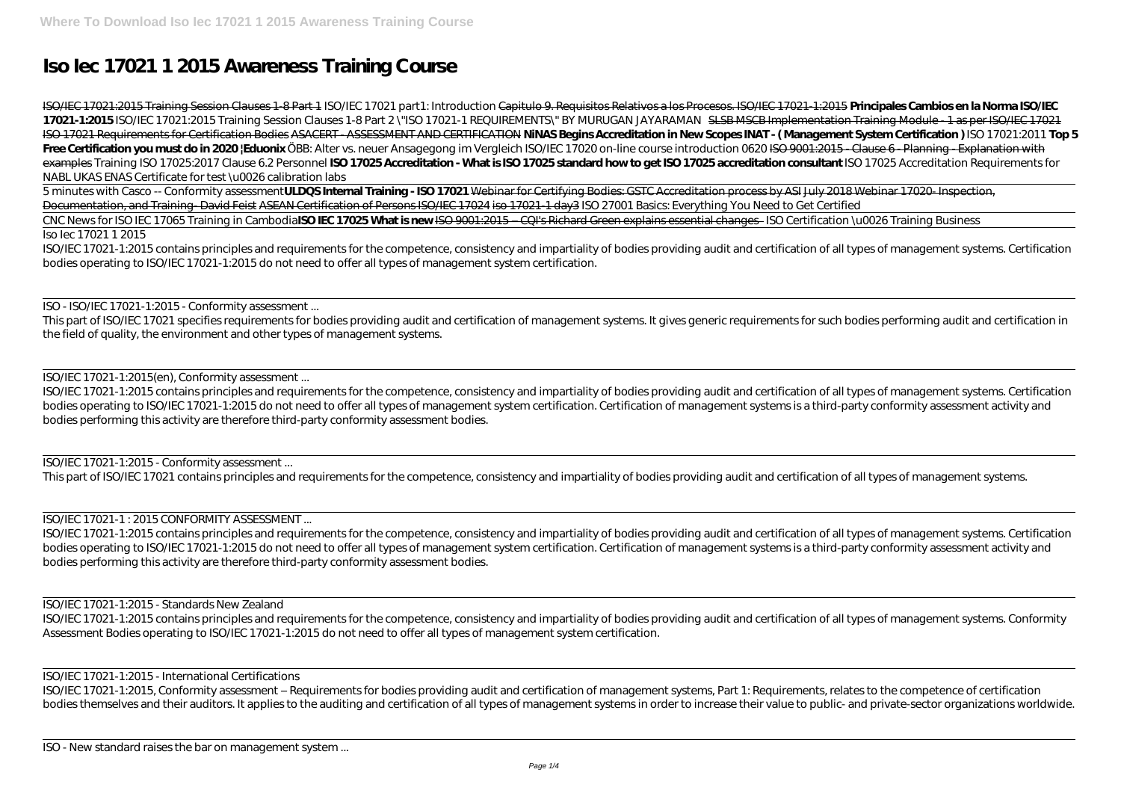# **Iso Iec 17021 1 2015 Awareness Training Course**

ISO/IEC 17021:2015 Training Session Clauses 1-8 Part 1 ISO/IEC 17021 part1: Introduction Capitulo 9. Requisitos Relativos a los Procesos. ISO/IEC 17021-1:2015 **Principales Cambios en la Norma ISO/IEC 17021-1:2015** *ISO/IEC 17021:2015 Training Session Clauses 1-8 Part 2* \"ISO 17021-1 REQUIREMENTS\" BY MURUGAN JAYARAMAN SLSB MSCB Implementation Training Module - 1 as per ISO/IEC 17021 ISO 17021 Requirements for Certification Bodies ASACERT - ASSESSMENT AND CERTIFICATION **NiNAS Begins Accreditation in New Scopes INAT - ( Management System Certification )** ISO 17021:2011 **Top 5** Free Certification you must do in 2020 |Eduonix ÖBB: Alter vs. neuer Ansagegong im Vergleich *ISO/IEC 17020 on-line course introduction 0620* ISO 9001:2015 - Clause 6 - Planning - Explanation with examples *Training ISO 17025:2017 Clause 6.2 Personnel* **ISO 17025 Accreditation - What is ISO 17025 standard how to get ISO 17025 accreditation consultant** ISO 17025 Accreditation Requirements for NABL UKAS ENAS Certificate for test \u0026 calibration labs

5 minutes with Casco -- Conformity assessment**ULDQS Internal Training - ISO 17021** Webinar for Certifying Bodies: GSTC Accreditation process by ASI July 2018 Webinar 17020- Inspection, Documentation, and Training-David Feist ASEAN Certification of Persons ISO/IEC 17024 iso 17021-1 day3 *ISO 27001 Basics: Everything You Need to Get Certified* CNC News for ISO IEC 17065 Training in Cambodia**ISO IEC 17025 What is new** ISO 9001:2015 – CQI's Richard Green explains essential changes *ISO Certification \u0026 Training Business*

### Iso Iec 17021 1 2015

ISO/IEC 17021-1:2015 contains principles and requirements for the competence, consistency and impartiality of bodies providing audit and certification of all types of management systems. Certification bodies operating to ISO/IEC 17021-1:2015 do not need to offer all types of management system certification.

ISO - ISO/IEC 17021-1:2015 - Conformity assessment ...

ISO/IEC 17021-1:2015, Conformity assessment – Requirements for bodies providing audit and certification of management systems, Part 1: Requirements, relates to the competence of certification bodies themselves and their auditors. It applies to the auditing and certification of all types of management systems in order to increase their value to public- and private-sector organizations worldwide.

This part of ISO/IEC 17021 specifies requirements for bodies providing audit and certification of management systems. It gives generic requirements for such bodies performing audit and certification in the field of quality, the environment and other types of management systems.

ISO/IEC 17021-1:2015(en), Conformity assessment ...

ISO/IEC 17021-1:2015 contains principles and requirements for the competence, consistency and impartiality of bodies providing audit and certification of all types of management systems. Certification bodies operating to ISO/IEC 17021-1:2015 do not need to offer all types of management system certification. Certification of management systems is a third-party conformity assessment activity and bodies performing this activity are therefore third-party conformity assessment bodies.

ISO/IEC 17021-1:2015 - Conformity assessment ...

This part of ISO/IEC 17021 contains principles and requirements for the competence, consistency and impartiality of bodies providing audit and certification of all types of management systems.

## ISO/IEC 17021-1 : 2015 CONFORMITY ASSESSMENT ...

ISO/IEC 17021-1:2015 contains principles and requirements for the competence, consistency and impartiality of bodies providing audit and certification of all types of management systems. Certification bodies operating to ISO/IEC 17021-1:2015 do not need to offer all types of management system certification. Certification of management systems is a third-party conformity assessment activity and bodies performing this activity are therefore third-party conformity assessment bodies.

### ISO/IEC 17021-1:2015 - Standards New Zealand

ISO/IEC 17021-1:2015 contains principles and requirements for the competence, consistency and impartiality of bodies providing audit and certification of all types of management systems. Conformity Assessment Bodies operating to ISO/IEC 17021-1:2015 do not need to offer all types of management system certification.

ISO/IEC 17021-1:2015 - International Certifications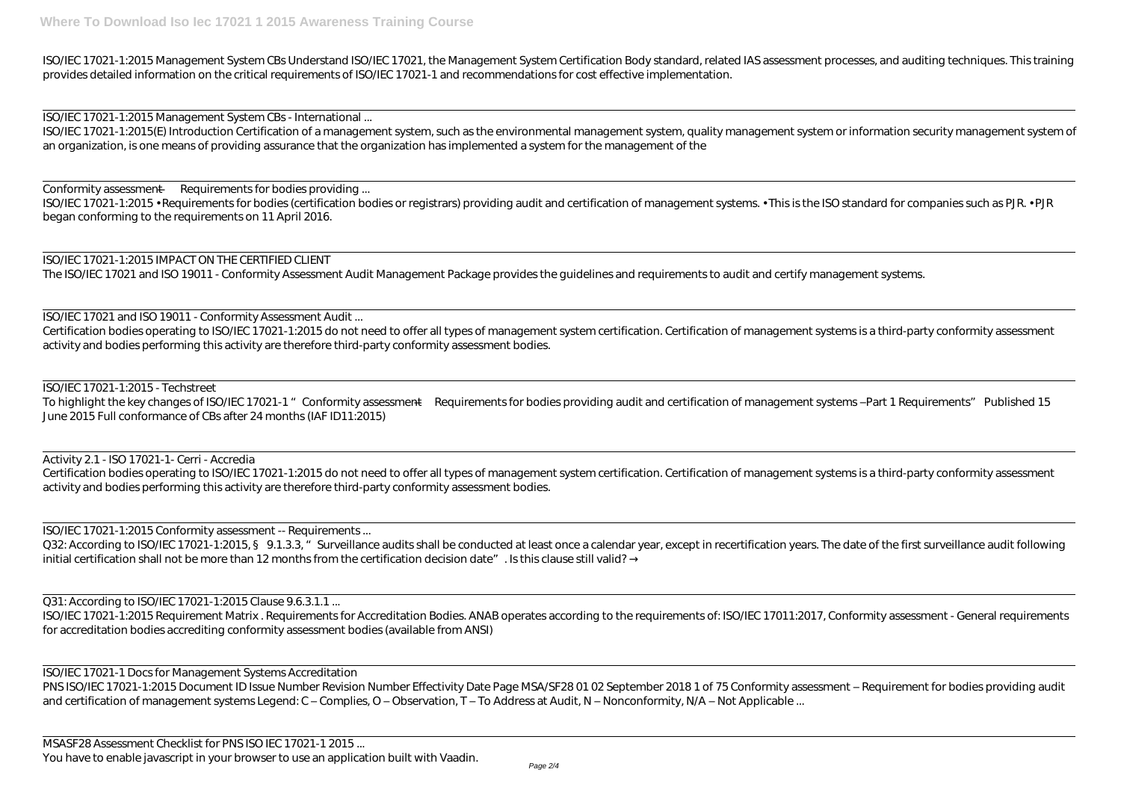ISO/IEC 17021-1:2015 Management System CBs Understand ISO/IEC 17021, the Management System Certification Body standard, related IAS assessment processes, and auditing techniques. This training provides detailed information on the critical requirements of ISO/IEC 17021-1 and recommendations for cost effective implementation.

ISO/IEC 17021-1:2015(E) Introduction Certification of a management system, such as the environmental management system, quality management system or information security management system of an organization, is one means of providing assurance that the organization has implemented a system for the management of the

ISO/IEC 17021-1:2015 Management System CBs - International ...

ISO/IEC 17021-1:2015 • Requirements for bodies (certification bodies or registrars) providing audit and certification of management systems. • This is the ISO standard for companies such as PJR. • PJR began conforming to the requirements on 11 April 2016.

Conformity assessment — Requirements for bodies providing ...

To highlight the key changes of ISO/IEC 17021-1 " Conformity assessment—Requirements for bodies providing audit and certification of management systems-Part 1 Requirements" Published 15 June 2015 Full conformance of CBs after 24 months (IAF ID11:2015)

Certification bodies operating to ISO/IEC 17021-1:2015 do not need to offer all types of management system certification. Certification of management systems is a third-party conformity assessment activity and bodies performing this activity are therefore third-party conformity assessment bodies.

ISO/IEC 17021-1:2015 IMPACT ON THE CERTIFIED CLIENT The ISO/IEC 17021 and ISO 19011 - Conformity Assessment Audit Management Package provides the guidelines and requirements to audit and certify management systems.

ISO/IEC 17021 and ISO 19011 - Conformity Assessment Audit ...

ISO/IEC 17021-1:2015 Requirement Matrix . Requirements for Accreditation Bodies. ANAB operates according to the requirements of: ISO/IEC 17011:2017, Conformity assessment - General requirements for accreditation bodies accrediting conformity assessment bodies (available from ANSI)

ISO/IEC 17021-1 Docs for Management Systems Accreditation PNS ISO/IEC 17021-1:2015 Document ID Issue Number Revision Number Effectivity Date Page MSA/SF28 01 02 September 2018 1 of 75 Conformity assessment - Requirement for bodies providing audit and certification of management systems Legend: C – Complies, O – Observation, T – To Address at Audit, N – Nonconformity, N/A – Not Applicable ...

Certification bodies operating to ISO/IEC 17021-1:2015 do not need to offer all types of management system certification. Certification of management systems is a third-party conformity assessment activity and bodies performing this activity are therefore third-party conformity assessment bodies.

ISO/IEC 17021-1:2015 - Techstreet

Activity 2.1 - ISO 17021-1- Cerri - Accredia

ISO/IEC 17021-1:2015 Conformity assessment -- Requirements ...

Q32: According to ISO/IEC 17021-1:2015, § 9.1.3.3, "Surveillance audits shall be conducted at least once a calendar year, except in recertification years. The date of the first surveillance audit following initial certification shall not be more than 12 months from the certification decision date". Is this clause still valid?

Q31: According to ISO/IEC 17021-1:2015 Clause 9.6.3.1.1 ...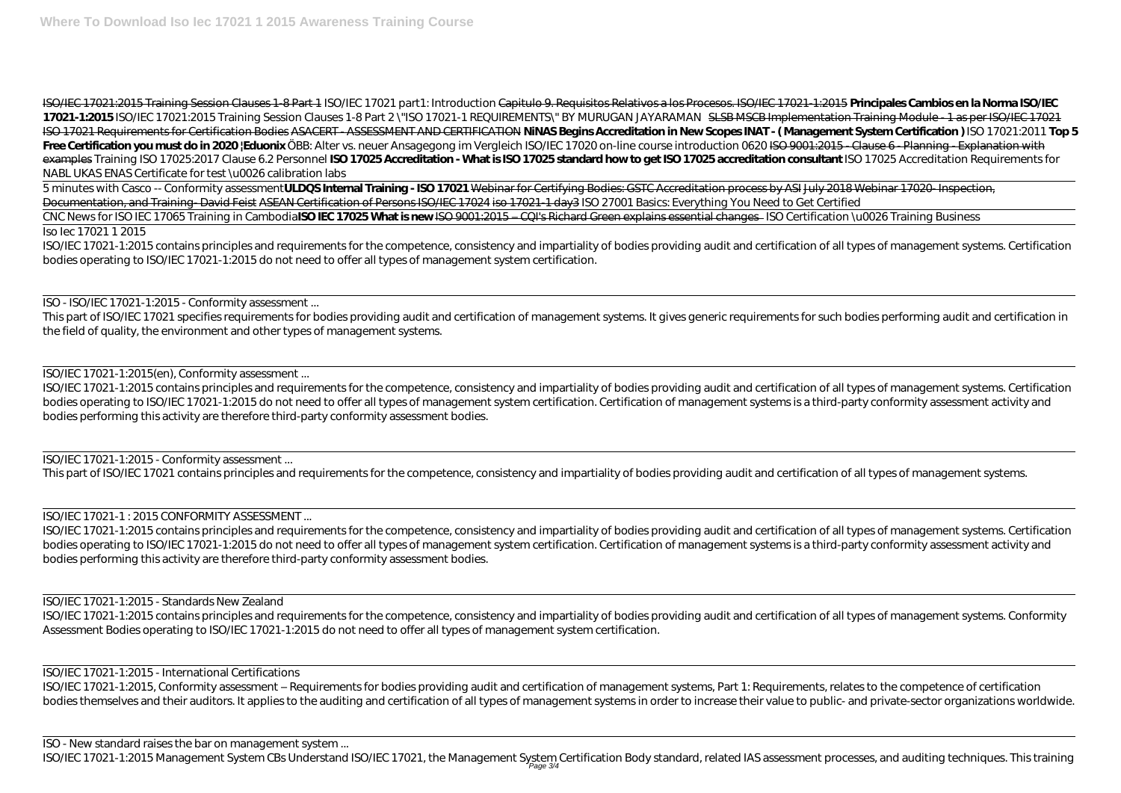ISO/IEC 17021:2015 Training Session Clauses 1-8 Part 1 ISO/IEC 17021 part1: Introduction Capitulo 9. Requisitos Relativos a los Procesos. ISO/IEC 17021-1:2015 **Principales Cambios en la Norma ISO/IEC 17021-1:2015** *ISO/IEC 17021:2015 Training Session Clauses 1-8 Part 2* \"ISO 17021-1 REQUIREMENTS\" BY MURUGAN JAYARAMAN SLSB MSCB Implementation Training Module - 1 as per ISO/IEC 17021 ISO 17021 Requirements for Certification Bodies ASACERT - ASSESSMENT AND CERTIFICATION **NiNAS Begins Accreditation in New Scopes INAT - ( Management System Certification )** ISO 17021:2011 **Top 5** Free Certification you must do in 2020 |Eduonix ÖBB: Alter vs. neuer Ansagegong im Vergleich *ISO/IEC 17020 on-line course introduction 0620* <del>ISO 9001:2015 - Clause 6 - Planning - Explanation with</del> examples *Training ISO 17025:2017 Clause 6.2 Personnel* **ISO 17025 Accreditation - What is ISO 17025 standard how to get ISO 17025 accreditation consultant** ISO 17025 Accreditation Requirements for NABL UKAS ENAS Certificate for test \u0026 calibration labs

5 minutes with Casco -- Conformity assessment**ULDQS Internal Training - ISO 17021** Webinar for Certifying Bodies: GSTC Accreditation process by ASI July 2018 Webinar 17020- Inspection, Documentation, and Training-David Feist ASEAN Certification of Persons ISO/IEC 17024 iso 17021-1 day3 *ISO 27001 Basics: Everything You Need to Get Certified* CNC News for ISO IEC 17065 Training in Cambodia**ISO IEC 17025 What is new** ISO 9001:2015 – CQI's Richard Green explains essential changes *ISO Certification \u0026 Training Business* Iso Iec 17021 1 2015

ISO/IEC 17021-1:2015 contains principles and requirements for the competence, consistency and impartiality of bodies providing audit and certification of all types of management systems. Certification bodies operating to ISO/IEC 17021-1:2015 do not need to offer all types of management system certification.

ISO - ISO/IEC 17021-1:2015 - Conformity assessment ...

This part of ISO/IEC 17021 specifies requirements for bodies providing audit and certification of management systems. It gives generic requirements for such bodies performing audit and certification in the field of quality, the environment and other types of management systems.

ISO/IEC 17021-1:2015(en), Conformity assessment ...

ISO/IEC 17021-1:2015 contains principles and requirements for the competence, consistency and impartiality of bodies providing audit and certification of all types of management systems. Certification bodies operating to ISO/IEC 17021-1:2015 do not need to offer all types of management system certification. Certification of management systems is a third-party conformity assessment activity and bodies performing this activity are therefore third-party conformity assessment bodies.

ISO/IEC 17021-1:2015 - Conformity assessment ...

This part of ISO/IEC 17021 contains principles and requirements for the competence, consistency and impartiality of bodies providing audit and certification of all types of management systems.

ISO/IEC 17021-1 : 2015 CONFORMITY ASSESSMENT ...

ISO/IEC 17021-1:2015 contains principles and requirements for the competence, consistency and impartiality of bodies providing audit and certification of all types of management systems. Certification bodies operating to ISO/IEC 17021-1:2015 do not need to offer all types of management system certification. Certification of management systems is a third-party conformity assessment activity and bodies performing this activity are therefore third-party conformity assessment bodies.

## ISO/IEC 17021-1:2015 - Standards New Zealand

ISO/IEC 17021-1:2015 contains principles and requirements for the competence, consistency and impartiality of bodies providing audit and certification of all types of management systems. Conformity Assessment Bodies operating to ISO/IEC 17021-1:2015 do not need to offer all types of management system certification.

ISO/IEC 17021-1:2015 - International Certifications

ISO/IEC 17021-1:2015, Conformity assessment – Requirements for bodies providing audit and certification of management systems, Part 1: Requirements, relates to the competence of certification bodies themselves and their auditors. It applies to the auditing and certification of all types of management systems in order to increase their value to public- and private-sector organizations worldwide.

ISO - New standard raises the bar on management system ...

ISO/IEC 17021-1:2015 Management System CBs Understand ISO/IEC 17021, the Management System Certification Body standard, related IAS assessment processes, and auditing techniques. This training